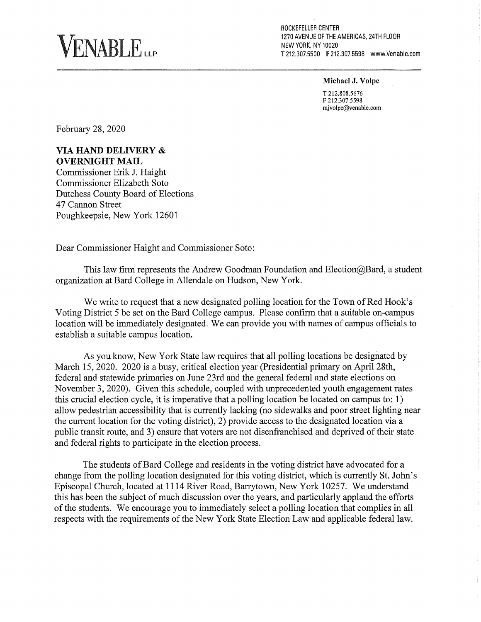

AOCKEFELLEA CENTER 1270 AVENUE OF THE AMERICAS, 24TH FLOOR NEW YORK, NY 10020 T 212.307.5500 F 212.307.5598 www.Venable.com

Michael J. Volpe

T212.808.5676 F212.307.5598 mjvolpe@venable.com

February 28, 2020

## VIA HAND DELIVERY & OVERNIGHT MAIL

Commissioner Erik J. Haight Commissioner Elizabeth Soto Dutchess County Board of Elections 47 Cannon Street Poughkeepsie, New York 12601

Dear Commissioner Haight and Commissioner Soto:

This law firm represents the Andrew Goodman Foundation and Election  $@$ Bard, a student organization at Bard College in Allendale on Hudson, New York.

We write to request that a new designated polling location for the Town of Red Hook's Voting District 5 be set on the Bard College campus. Please confirm that a suitable on-campus location will be immediately designated. We can provide you with names of campus officials to establish a suitable campus location.

As you know, New York State law requires that all polling locations be designated by March 15, 2020. 2020 is a busy, critical election year (Presidential primary on Apri128th, federal and statewide primaries on June 23rd and the general federal and state elections on November 3, 2020). Given this schedule, coupled with unprecedented youth engagement rates this crucial election cycle, it is imperative that a polling location be located on campus to: 1) allow pedestrian accessibility that is currently lacking (no sidewalks and poor street lighting near the current location for the voting district), 2) provide access to the designated location via a public transit route, and 3) ensure that voters are not disenfranchised and deprived of their state and federal rights to participate in the election process.

The students of Bard College and residents in the voting district have advocated for a change from the polling location designated for this voting district, which is currently St. John's Episcopal Church, located at 1114 River Road, Barrytown, New York 10257. We understand this has been the subject of much discussion over the years, and particularly applaud the efforts of the students. We encourage you to immediately select a polling location that complies in all respects with the requirements of the New York State Election Law and applicable federal law.